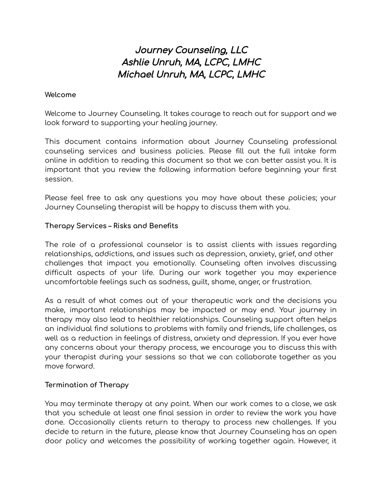# Journey Counseling, LLC Ashlie Unruh, MA, LCPC, LMHC Michael Unruh, MA, LCPC, LMHC

#### **Welcome**

Welcome to Journey Counseling. It takes courage to reach out for support and we look forward to supporting your healing journey.

This document contains information about Journey Counseling professional counseling services and business policies. Please fill out the full intake form online in addition to reading this document so that we can better assist you. It is important that you review the following information before beginning your first session.

Please feel free to ask any questions you may have about these policies; your Journey Counseling therapist will be happy to discuss them with you.

#### **Therapy Services – Risks and Benefits**

The role of a professional counselor is to assist clients with issues regarding relationships, addictions, and issues such as depression, anxiety, grief, and other challenges that impact you emotionally. Counseling often involves discussing difficult aspects of your life. During our work together you may experience uncomfortable feelings such as sadness, guilt, shame, anger, or frustration.

As a result of what comes out of your therapeutic work and the decisions you make, important relationships may be impacted or may end. Your journey in therapy may also lead to healthier relationships. Counseling support often helps an individual find solutions to problems with family and friends, life challenges, as well as a reduction in feelings of distress, anxiety and depression. If you ever have any concerns about your therapy process, we encourage you to discuss this with your therapist during your sessions so that we can collaborate together as you move forward.

#### **Termination of Therapy**

You may terminate therapy at any point. When our work comes to a close, we ask that you schedule at least one final session in order to review the work you have done. Occasionally clients return to therapy to process new challenges. If you decide to return in the future, please know that Journey Counseling has an open door policy and welcomes the possibility of working together again. However, it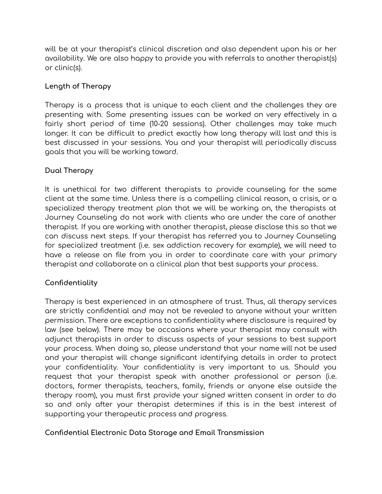will be at your therapist's clinical discretion and also dependent upon his or her availability. We are also happy to provide you with referrals to another therapist(s) or clinic(s).

# **Length of Therapy**

Therapy is a process that is unique to each client and the challenges they are presenting with. Some presenting issues can be worked on very effectively in a fairly short period of time (10-20 sessions). Other challenges may take much longer. It can be difficult to predict exactly how long therapy will last and this is best discussed in your sessions. You and your therapist will periodically discuss goals that you will be working toward.

# **Dual Therapy**

It is unethical for two different therapists to provide counseling for the same client at the same time. Unless there is a compelling clinical reason, a crisis, or a specialized therapy treatment plan that we will be working on, the therapists at Journey Counseling do not work with clients who are under the care of another therapist. If you are working with another therapist, please disclose this so that we can discuss next steps. If your therapist has referred you to Journey Counseling for specialized treatment (i.e. sex addiction recovery for example), we will need to have a release on file from you in order to coordinate care with your primary therapist and collaborate on a clinical plan that best supports your process.

## **Confidentiality**

Therapy is best experienced in an atmosphere of trust. Thus, all therapy services are strictly confidential and may not be revealed to anyone without your written permission. There are exceptions to confidentiality where disclosure is required by law (see below). There may be occasions where your therapist may consult with adjunct therapists in order to discuss aspects of your sessions to best support your process. When doing so, please understand that your name will not be used and your therapist will change significant identifying details in order to protect your confidentiality. Your confidentiality is very important to us. Should you request that your therapist speak with another professional or person (i.e. doctors, former therapists, teachers, family, friends or anyone else outside the therapy room), you must first provide your signed written consent in order to do so and only after your therapist determines if this is in the best interest of supporting your therapeutic process and progress.

## **Confidential Electronic Data Storage and Email Transmission**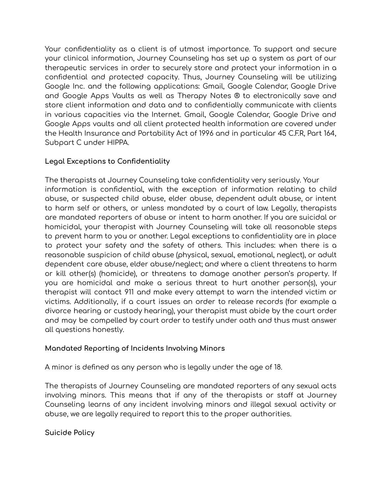Your confidentiality as a client is of utmost importance. To support and secure your clinical information, Journey Counseling has set up a system as part of our therapeutic services in order to securely store and protect your information in a confidential and protected capacity. Thus, Journey Counseling will be utilizing Google Inc. and the following applications: Gmail, Google Calendar, Google Drive and Google Apps Vaults as well as Therapy Notes ® to electronically save and store client information and data and to confidentially communicate with clients in various capacities via the Internet. Gmail, Google Calendar, Google Drive and Google Apps vaults and all client protected health information are covered under the Health Insurance and Portability Act of 1996 and in particular 45 C.F.R, Part 164, Subpart C under HIPPA.

# **Legal Exceptions to Confidentiality**

The therapists at Journey Counseling take confidentiality very seriously. Your information is confidential, with the exception of information relating to child abuse, or suspected child abuse, elder abuse, dependent adult abuse, or intent to harm self or others, or unless mandated by a court of law. Legally, therapists are mandated reporters of abuse or intent to harm another. If you are suicidal or homicidal, your therapist with Journey Counseling will take all reasonable steps to prevent harm to you or another. Legal exceptions to confidentiality are in place to protect your safety and the safety of others. This includes: when there is a reasonable suspicion of child abuse (physical, sexual, emotional, neglect), or adult dependent care abuse, elder abuse/neglect; and where a client threatens to harm or kill other(s) (homicide), or threatens to damage another person's property. If you are homicidal and make a serious threat to hurt another person(s), your therapist will contact 911 and make every attempt to warn the intended victim or victims. Additionally, if a court issues an order to release records (for example a divorce hearing or custody hearing), your therapist must abide by the court order and may be compelled by court order to testify under oath and thus must answer all questions honestly.

## **Mandated Reporting of Incidents Involving Minors**

A minor is defined as any person who is legally under the age of 18.

The therapists of Journey Counseling are mandated reporters of any sexual acts involving minors. This means that if any of the therapists or staff at Journey Counseling learns of any incident involving minors and illegal sexual activity or abuse, we are legally required to report this to the proper authorities.

**Suicide Policy**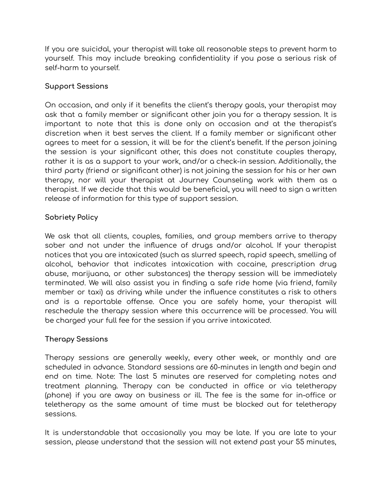If you are suicidal, your therapist will take all reasonable steps to prevent harm to yourself. This may include breaking confidentiality if you pose a serious risk of self-harm to yourself.

# **Support Sessions**

On occasion, and only if it benefits the client's therapy goals, your therapist may ask that a family member or significant other join you for a therapy session. It is important to note that this is done only on occasion and at the therapist's discretion when it best serves the client. If a family member or significant other agrees to meet for a session, it will be for the client's benefit. If the person joining the session is your significant other, this does not constitute couples therapy, rather it is as a support to your work, and/or a check-in session. Additionally, the third party (friend or significant other) is not joining the session for his or her own therapy, nor will your therapist at Journey Counseling work with them as a therapist. If we decide that this would be beneficial, you will need to sign a written release of information for this type of support session.

# **Sobriety Policy**

We ask that all clients, couples, families, and group members arrive to therapy sober and not under the influence of drugs and/or alcohol. If your therapist notices that you are intoxicated (such as slurred speech, rapid speech, smelling of alcohol, behavior that indicates intoxication with cocaine, prescription drug abuse, marijuana, or other substances) the therapy session will be immediately terminated. We will also assist you in finding a safe ride home (via friend, family member or taxi) as driving while under the influence constitutes a risk to others and is a reportable offense. Once you are safely home, your therapist will reschedule the therapy session where this occurrence will be processed. You will be charged your full fee for the session if you arrive intoxicated.

## **Therapy Sessions**

Therapy sessions are generally weekly, every other week, or monthly and are scheduled in advance. Standard sessions are 60-minutes in length and begin and end on time. Note: The last 5 minutes are reserved for completing notes and treatment planning. Therapy can be conducted in office or via teletherapy (phone) if you are away on business or ill. The fee is the same for in-office or teletherapy as the same amount of time must be blocked out for teletherapy sessions.

It is understandable that occasionally you may be late. If you are late to your session, please understand that the session will not extend past your 55 minutes,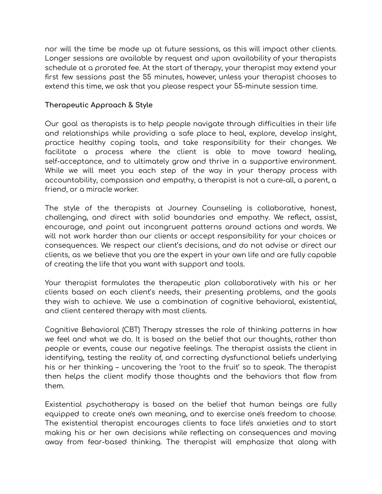nor will the time be made up at future sessions, as this will impact other clients. Longer sessions are available by request and upon availability of your therapists schedule at a prorated fee. At the start of therapy, your therapist may extend your first few sessions past the 55 minutes, however, unless your therapist chooses to extend this time, we ask that you please respect your 55-minute session time.

## **Therapeutic Approach & Style**

Our goal as therapists is to help people navigate through difficulties in their life and relationships while providing a safe place to heal, explore, develop insight, practice healthy coping tools, and take responsibility for their changes. We facilitate a process where the client is able to move toward healing, self-acceptance, and to ultimately grow and thrive in a supportive environment. While we will meet you each step of the way in your therapy process with accountability, compassion and empathy, a therapist is not a cure-all, a parent, a friend, or a miracle worker.

The style of the therapists at Journey Counseling is collaborative, honest, challenging, and direct with solid boundaries and empathy. We reflect, assist, encourage, and point out incongruent patterns around actions and words. We will not work harder than our clients or accept responsibility for your choices or consequences. We respect our client's decisions, and do not advise or direct our clients, as we believe that you are the expert in your own life and are fully capable of creating the life that you want with support and tools.

Your therapist formulates the therapeutic plan collaboratively with his or her clients based on each client's needs, their presenting problems, and the goals they wish to achieve. We use a combination of cognitive behavioral, existential, and client centered therapy with most clients.

Cognitive Behavioral (CBT) Therapy stresses the role of thinking patterns in how we feel and what we do. It is based on the belief that our thoughts, rather than people or events, cause our negative feelings. The therapist assists the client in identifying, testing the reality of, and correcting dysfunctional beliefs underlying his or her thinking – uncovering the 'root to the fruit' so to speak. The therapist then helps the client modify those thoughts and the behaviors that flow from them.

Existential psychotherapy is based on the belief that human beings are fully equipped to create one's own meaning, and to exercise one's freedom to choose. The existential therapist encourages clients to face life's anxieties and to start making his or her own decisions while reflecting on consequences and moving away from fear-based thinking. The therapist will emphasize that along with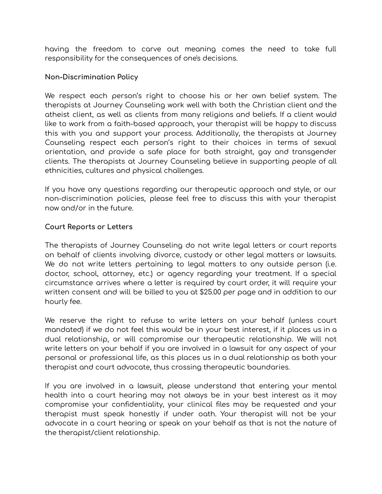having the freedom to carve out meaning comes the need to take full responsibility for the consequences of one's decisions.

## **Non-Discrimination Policy**

We respect each person's right to choose his or her own belief system. The therapists at Journey Counseling work well with both the Christian client and the atheist client, as well as clients from many religions and beliefs. If a client would like to work from a faith-based approach, your therapist will be happy to discuss this with you and support your process. Additionally, the therapists at Journey Counseling respect each person's right to their choices in terms of sexual orientation, and provide a safe place for both straight, gay and transgender clients. The therapists at Journey Counseling believe in supporting people of all ethnicities, cultures and physical challenges.

If you have any questions regarding our therapeutic approach and style, or our non-discrimination policies, please feel free to discuss this with your therapist now and/or in the future.

## **Court Reports or Letters**

The therapists of Journey Counseling do not write legal letters or court reports on behalf of clients involving divorce, custody or other legal matters or lawsuits. We do not write letters pertaining to legal matters to any outside person (i.e. doctor, school, attorney, etc.) or agency regarding your treatment. If a special circumstance arrives where a letter is required by court order, it will require your written consent and will be billed to you at \$25.00 per page and in addition to our hourly fee.

We reserve the right to refuse to write letters on your behalf (unless court mandated) if we do not feel this would be in your best interest, if it places us in a dual relationship, or will compromise our therapeutic relationship. We will not write letters on your behalf if you are involved in a lawsuit for any aspect of your personal or professional life, as this places us in a dual relationship as both your therapist and court advocate, thus crossing therapeutic boundaries.

If you are involved in a lawsuit, please understand that entering your mental health into a court hearing may not always be in your best interest as it may compromise your confidentiality, your clinical files may be requested and your therapist must speak honestly if under oath. Your therapist will not be your advocate in a court hearing or speak on your behalf as that is not the nature of the therapist/client relationship.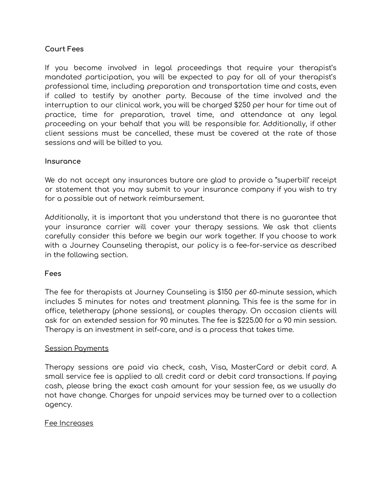## **Court Fees**

If you become involved in legal proceedings that require your therapist's mandated participation, you will be expected to pay for all of your therapist's professional time, including preparation and transportation time and costs, even if called to testify by another party. Because of the time involved and the interruption to our clinical work, you will be charged \$250 per hour for time out of practice, time for preparation, travel time, and attendance at any legal proceeding on your behalf that you will be responsible for. Additionally, if other client sessions must be cancelled, these must be covered at the rate of those sessions and will be billed to you.

#### **Insurance**

We do not accept any insurances butare are glad to provide a "superbill' receipt or statement that you may submit to your insurance company if you wish to try for a possible out of network reimbursement.

Additionally, it is important that you understand that there is no guarantee that your insurance carrier will cover your therapy sessions. We ask that clients carefully consider this before we begin our work together. If you choose to work with a Journey Counseling therapist, our policy is a fee-for-service as described in the following section.

#### **Fees**

The fee for therapists at Journey Counseling is \$150 per 60-minute session, which includes 5 minutes for notes and treatment planning. This fee is the same for in office, teletherapy (phone sessions), or couples therapy. On occasion clients will ask for an extended session for 90 minutes. The fee is \$225.00 for a 90 min session. Therapy is an investment in self-care, and is a process that takes time.

#### Session Payments

Therapy sessions are paid via check, cash, Visa, MasterCard or debit card. A small service fee is applied to all credit card or debit card transactions. If paying cash, please bring the exact cash amount for your session fee, as we usually do not have change. Charges for unpaid services may be turned over to a collection agency.

#### Fee Increases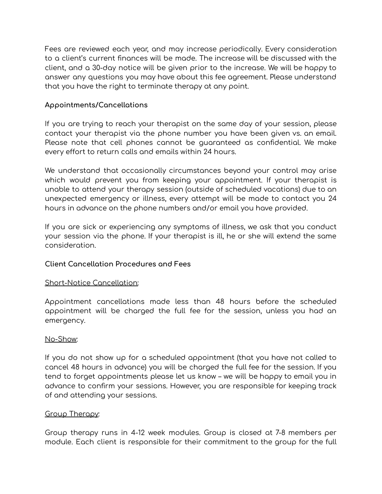Fees are reviewed each year, and may increase periodically. Every consideration to a client's current finances will be made. The increase will be discussed with the client, and a 30-day notice will be given prior to the increase. We will be happy to answer any questions you may have about this fee agreement. Please understand that you have the right to terminate therapy at any point.

## **Appointments/Cancellations**

If you are trying to reach your therapist on the same day of your session, please contact your therapist via the phone number you have been given vs. an email. Please note that cell phones cannot be guaranteed as confidential. We make every effort to return calls and emails within 24 hours.

We understand that occasionally circumstances beyond your control may arise which would prevent you from keeping your appointment. If your therapist is unable to attend your therapy session (outside of scheduled vacations) due to an unexpected emergency or illness, every attempt will be made to contact you 24 hours in advance on the phone numbers and/or email you have provided.

If you are sick or experiencing any symptoms of illness, we ask that you conduct your session via the phone. If your therapist is ill, he or she will extend the same consideration.

## **Client Cancellation Procedures and Fees**

#### Short-Notice Cancellation:

Appointment cancellations made less than 48 hours before the scheduled appointment will be charged the full fee for the session, unless you had an emergency.

#### No-Show:

If you do not show up for a scheduled appointment (that you have not called to cancel 48 hours in advance) you will be charged the full fee for the session. If you tend to forget appointments please let us know – we will be happy to email you in advance to confirm your sessions. However, you are responsible for keeping track of and attending your sessions.

#### Group Therapy:

Group therapy runs in 4-12 week modules. Group is closed at 7-8 members per module. Each client is responsible for their commitment to the group for the full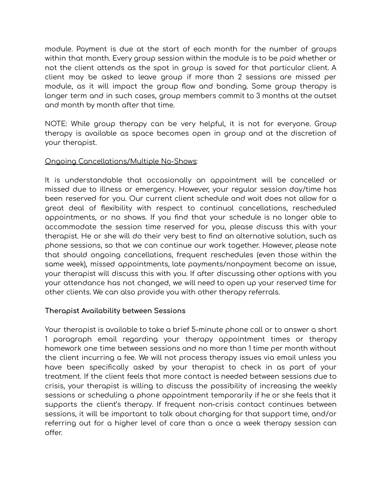module. Payment is due at the start of each month for the number of groups within that month. Every group session within the module is to be paid whether or not the client attends as the spot in group is saved for that particular client. A client may be asked to leave group if more than 2 sessions are missed per module, as it will impact the group flow and bonding. Some group therapy is longer term and in such cases, group members commit to 3 months at the outset and month by month after that time.

NOTE: While group therapy can be very helpful, it is not for everyone. Group therapy is available as space becomes open in group and at the discretion of your therapist.

## Ongoing Cancellations/Multiple No-Shows:

It is understandable that occasionally an appointment will be cancelled or missed due to illness or emergency. However, your regular session day/time has been reserved for you. Our current client schedule and wait does not allow for a great deal of flexibility with respect to continual cancellations, rescheduled appointments, or no shows. If you find that your schedule is no longer able to accommodate the session time reserved for you, please discuss this with your therapist. He or she will do their very best to find an alternative solution, such as phone sessions, so that we can continue our work together. However, please note that should ongoing cancellations, frequent reschedules (even those within the same week), missed appointments, late payments/nonpayment become an issue, your therapist will discuss this with you. If after discussing other options with you your attendance has not changed, we will need to open up your reserved time for other clients. We can also provide you with other therapy referrals.

## **Therapist Availability between Sessions**

Your therapist is available to take a brief 5-minute phone call or to answer a short 1 paragraph email regarding your therapy appointment times or therapy homework one time between sessions and no more than 1 time per month without the client incurring a fee. We will not process therapy issues via email unless you have been specifically asked by your therapist to check in as part of your treatment. If the client feels that more contact is needed between sessions due to crisis, your therapist is willing to discuss the possibility of increasing the weekly sessions or scheduling a phone appointment temporarily if he or she feels that it supports the client's therapy. If frequent non-crisis contact continues between sessions, it will be important to talk about charging for that support time, and/or referring out for a higher level of care than a once a week therapy session can offer.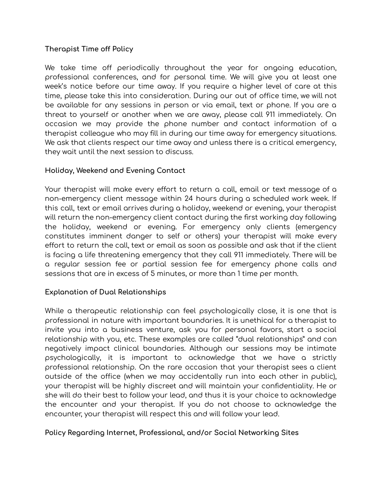# **Therapist Time off Policy**

We take time off periodically throughout the year for ongoing education, professional conferences, and for personal time. We will give you at least one week's notice before our time away. If you require a higher level of care at this time, please take this into consideration. During our out of office time, we will not be available for any sessions in person or via email, text or phone. If you are a threat to yourself or another when we are away, please call 911 immediately. On occasion we may provide the phone number and contact information of a therapist colleague who may fill in during our time away for emergency situations. We ask that clients respect our time away and unless there is a critical emergency, they wait until the next session to discuss.

## **Holiday, Weekend and Evening Contact**

Your therapist will make every effort to return a call, email or text message of a non-emergency client message within 24 hours during a scheduled work week. If this call, text or email arrives during a holiday, weekend or evening, your therapist will return the non-emergency client contact during the first working day following the holiday, weekend or evening. For emergency only clients (emergency constitutes imminent danger to self or others) your therapist will make every effort to return the call, text or email as soon as possible and ask that if the client is facing a life threatening emergency that they call 911 immediately. There will be a regular session fee or partial session fee for emergency phone calls and sessions that are in excess of 5 minutes, or more than 1 time per month.

## **Explanation of Dual Relationships**

While a therapeutic relationship can feel psychologically close, it is one that is professional in nature with important boundaries. It is unethical for a therapist to invite you into a business venture, ask you for personal favors, start a social relationship with you, etc. These examples are called "dual relationships" and can negatively impact clinical boundaries. Although our sessions may be intimate psychologically, it is important to acknowledge that we have a strictly professional relationship. On the rare occasion that your therapist sees a client outside of the office (when we may accidentally run into each other in public), your therapist will be highly discreet and will maintain your confidentiality. He or she will do their best to follow your lead, and thus it is your choice to acknowledge the encounter and your therapist. If you do not choose to acknowledge the encounter, your therapist will respect this and will follow your lead.

## **Policy Regarding Internet, Professional, and/or Social Networking Sites**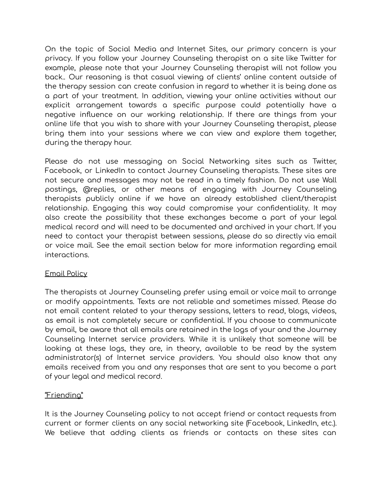On the topic of Social Media and Internet Sites, our primary concern is your privacy. If you follow your Journey Counseling therapist on a site like Twitter for example, please note that your Journey Counseling therapist will not follow you back.. Our reasoning is that casual viewing of clients' online content outside of the therapy session can create confusion in regard to whether it is being done as a part of your treatment. In addition, viewing your online activities without our explicit arrangement towards a specific purpose could potentially have a negative influence on our working relationship. If there are things from your online life that you wish to share with your Journey Counseling therapist, please bring them into your sessions where we can view and explore them together, during the therapy hour.

Please do not use messaging on Social Networking sites such as Twitter, Facebook, or LinkedIn to contact Journey Counseling therapists. These sites are not secure and messages may not be read in a timely fashion. Do not use Wall postings, @replies, or other means of engaging with Journey Counseling therapists publicly online if we have an already established client/therapist relationship. Engaging this way could compromise your confidentiality. It may also create the possibility that these exchanges become a part of your legal medical record and will need to be documented and archived in your chart. If you need to contact your therapist between sessions, please do so directly via email or voice mail. See the email section below for more information regarding email interactions.

## Email Policy

The therapists at Journey Counseling prefer using email or voice mail to arrange or modify appointments. Texts are not reliable and sometimes missed. Please do not email content related to your therapy sessions, letters to read, blogs, videos, as email is not completely secure or confidential. If you choose to communicate by email, be aware that all emails are retained in the logs of your and the Journey Counseling Internet service providers. While it is unlikely that someone will be looking at these logs, they are, in theory, available to be read by the system administrator(s) of Internet service providers. You should also know that any emails received from you and any responses that are sent to you become a part of your legal and medical record.

## "Friending"

It is the Journey Counseling policy to not accept friend or contact requests from current or former clients on any social networking site (Facebook, LinkedIn, etc.). We believe that adding clients as friends or contacts on these sites can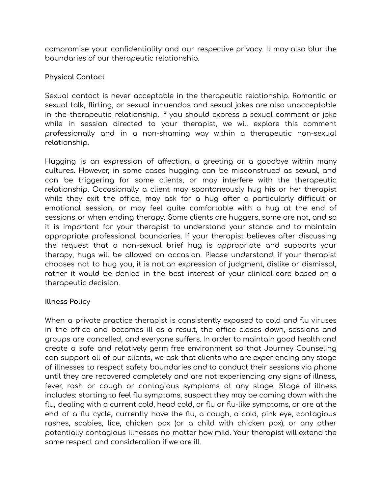compromise your confidentiality and our respective privacy. It may also blur the boundaries of our therapeutic relationship.

# **Physical Contact**

Sexual contact is never acceptable in the therapeutic relationship. Romantic or sexual talk, flirting, or sexual innuendos and sexual jokes are also unacceptable in the therapeutic relationship. If you should express a sexual comment or joke while in session directed to your therapist, we will explore this comment professionally and in a non-shaming way within a therapeutic non-sexual relationship.

Hugging is an expression of affection, a greeting or a goodbye within many cultures. However, in some cases hugging can be misconstrued as sexual, and can be triggering for some clients, or may interfere with the therapeutic relationship. Occasionally a client may spontaneously hug his or her therapist while they exit the office, may ask for a hug after a particularly difficult or emotional session, or may feel quite comfortable with a hug at the end of sessions or when ending therapy. Some clients are huggers, some are not, and so it is important for your therapist to understand your stance and to maintain appropriate professional boundaries. If your therapist believes after discussing the request that a non-sexual brief hug is appropriate and supports your therapy, hugs will be allowed on occasion. Please understand, if your therapist chooses not to hug you, it is not an expression of judgment, dislike or dismissal, rather it would be denied in the best interest of your clinical care based on a therapeutic decision.

## **Illness Policy**

When a private practice therapist is consistently exposed to cold and flu viruses in the office and becomes ill as a result, the office closes down, sessions and groups are cancelled, and everyone suffers. In order to maintain good health and create a safe and relatively germ free environment so that Journey Counseling can support all of our clients, we ask that clients who are experiencing any stage of illnesses to respect safety boundaries and to conduct their sessions via phone until they are recovered completely and are not experiencing any signs of illness, fever, rash or cough or contagious symptoms at any stage. Stage of illness includes: starting to feel flu symptoms, suspect they may be coming down with the flu, dealing with a current cold, head cold, or flu or flu-like symptoms, or are at the end of a flu cycle, currently have the flu, a cough, a cold, pink eye, contagious rashes, scabies, lice, chicken pox (or a child with chicken pox), or any other potentially contagious illnesses no matter how mild. Your therapist will extend the same respect and consideration if we are ill.